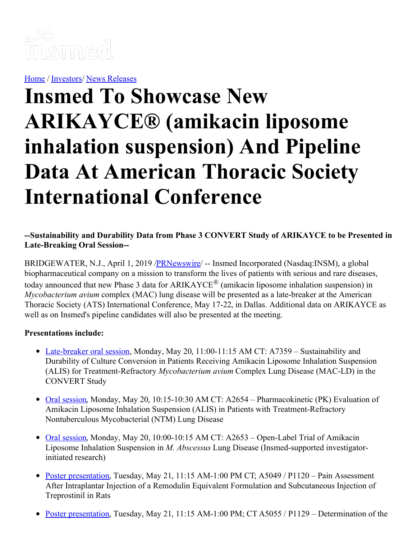

[Home](https://insmed.com/) / [Investors](https://investor.insmed.com/index)/ News [Releases](https://investor.insmed.com/releases)

# **Insmed To Showcase New ARIKAYCE® (amikacin liposome inhalation suspension) And Pipeline Data At American Thoracic Society International Conference**

#### **--Sustainability and Durability Data from Phase 3 CONVERT Study of ARIKAYCE to be Presented in Late-Breaking Oral Session--**

BRIDGEWATER, N.J., April 1, 2019 / PRNewswire /- Insmed Incorporated (Nasdaq:INSM), a global biopharmaceutical company on a mission to transform the lives of patients with serious and rare diseases, today announced that new Phase 3 data for ARIKAYCE® (amikacin liposome inhalation suspension) in *Mycobacterium avium* complex (MAC) lung disease will be presented as a late-breaker at the American Thoracic Society (ATS) International Conference, May 17-22, in Dallas. Additional data on ARIKAYCE as well as on Insmed's pipeline candidates will also be presented at the meeting.

#### **Presentations include:**

- [Late-breaker](https://c212.net/c/link/?t=0&l=en&o=2419174-1&h=2396879381&u=https%3A%2F%2Fwww.abstractsonline.com%2Fpp8%2F%23!%2F5789%2Fpresentation%2F28853&a=Late-breaker+oral+session) oral session, Monday, May 20, 11:00-11:15 AM CT: A7359 Sustainability and Durability of Culture Conversion in Patients Receiving Amikacin Liposome Inhalation Suspension (ALIS) for Treatment-Refractory *Mycobacterium avium* Complex Lung Disease (MAC-LD) in the CONVERT Study
- Oral [session](https://c212.net/c/link/?t=0&l=en&o=2419174-1&h=199774987&u=https%3A%2F%2Fwww.abstractsonline.com%2Fpp8%2F%23!%2F5789%2Fpresentation%2F12673&a=Oral+session), Monday, May 20, 10:15-10:30 AM CT: A2654 Pharmacokinetic (PK) Evaluation of Amikacin Liposome Inhalation Suspension (ALIS) in Patients with Treatment-Refractory Nontuberculous Mycobacterial (NTM) Lung Disease
- Oral [session](https://c212.net/c/link/?t=0&l=en&o=2419174-1&h=1932104987&u=https%3A%2F%2Fwww.abstractsonline.com%2Fpp8%2F%23!%2F5789%2Fpresentation%2F12671&a=Oral+session), Monday, May 20, 10:00-10:15 AM CT: A2653 Open-Label Trial of Amikacin Liposome Inhalation Suspension in *M. Abscessus* Lung Disease (Insmed-supported investigatorinitiated research)
- Poster [presentation](https://c212.net/c/link/?t=0&l=en&o=2419174-1&h=3470811489&u=https%3A%2F%2Fwww.abstractsonline.com%2Fpp8%2F%23!%2F5789%2Fpresentation%2F9355&a=Poster+presentation), Tuesday, May 21, 11:15 AM-1:00 PM CT; A5049 / P1120 Pain Assessment After Intraplantar Injection of a Remodulin Equivalent Formulation and Subcutaneous Injection of Treprostinil in Rats
- Poster [presentation](https://c212.net/c/link/?t=0&l=en&o=2419174-1&h=3613941537&u=https%3A%2F%2Fwww.abstractsonline.com%2Fpp8%2F%23!%2F5789%2Fpresentation%2F8958&a=Poster+presentation), Tuesday, May 21, 11:15 AM-1:00 PM; CT A5055 / P1129 Determination of the $\bullet$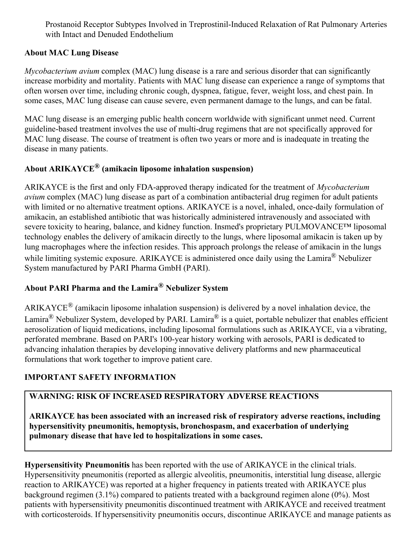Prostanoid Receptor Subtypes Involved in Treprostinil-Induced Relaxation of Rat Pulmonary Arteries with Intact and Denuded Endothelium

#### **About MAC Lung Disease**

*Mycobacterium avium* complex (MAC) lung disease is a rare and serious disorder that can significantly increase morbidity and mortality. Patients with MAC lung disease can experience a range of symptoms that often worsen over time, including chronic cough, dyspnea, fatigue, fever, weight loss, and chest pain. In some cases, MAC lung disease can cause severe, even permanent damage to the lungs, and can be fatal.

MAC lung disease is an emerging public health concern worldwide with significant unmet need. Current guideline-based treatment involves the use of multi-drug regimens that are not specifically approved for MAC lung disease. The course of treatment is often two years or more and is inadequate in treating the disease in many patients.

## **About ARIKAYCE ® (amikacin liposome inhalation suspension)**

ARIKAYCE is the first and only FDA-approved therapy indicated for the treatment of *Mycobacterium avium* complex (MAC) lung disease as part of a combination antibacterial drug regimen for adult patients with limited or no alternative treatment options. ARIKAYCE is a novel, inhaled, once-daily formulation of amikacin, an established antibiotic that was historically administered intravenously and associated with severe toxicity to hearing, balance, and kidney function. Insmed's proprietary PULMOVANCE™ liposomal technology enables the delivery of amikacin directly to the lungs, where liposomal amikacin is taken up by lung macrophages where the infection resides. This approach prolongs the release of amikacin in the lungs while limiting systemic exposure. ARIKAYCE is administered once daily using the Lamira® Nebulizer System manufactured by PARI Pharma GmbH (PARI).

# **About PARI Pharma and the Lamira® Nebulizer System**

ARIKAYCE® (amikacin liposome inhalation suspension) is delivered by a novel inhalation device, the Lamira® Nebulizer System, developed by PARI. Lamira® is a quiet, portable nebulizer that enables efficient aerosolization of liquid medications, including liposomal formulations such as ARIKAYCE, via a vibrating, perforated membrane. Based on PARI's 100-year history working with aerosols, PARI is dedicated to advancing inhalation therapies by developing innovative delivery platforms and new pharmaceutical formulations that work together to improve patient care.

### **IMPORTANT SAFETY INFORMATION**

## **WARNING: RISK OF INCREASED RESPIRATORY ADVERSE REACTIONS**

**ARIKAYCE has been associated with an increased risk of respiratory adverse reactions, including hypersensitivity pneumonitis, hemoptysis, bronchospasm, and exacerbation of underlying pulmonary disease that have led to hospitalizations in some cases.**

**Hypersensitivity Pneumonitis** has been reported with the use of ARIKAYCE in the clinical trials. Hypersensitivity pneumonitis (reported as allergic alveolitis, pneumonitis, interstitial lung disease, allergic reaction to ARIKAYCE) was reported at a higher frequency in patients treated with ARIKAYCE plus background regimen (3.1%) compared to patients treated with a background regimen alone (0%). Most patients with hypersensitivity pneumonitis discontinued treatment with ARIKAYCE and received treatment with corticosteroids. If hypersensitivity pneumonitis occurs, discontinue ARIKAYCE and manage patients as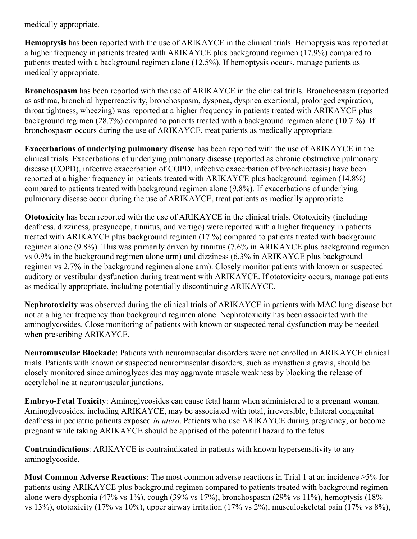medically appropriate*.*

**Hemoptysis** has been reported with the use of ARIKAYCE in the clinical trials. Hemoptysis was reported at a higher frequency in patients treated with ARIKAYCE plus background regimen (17.9%) compared to patients treated with a background regimen alone (12.5%). If hemoptysis occurs, manage patients as medically appropriate*.*

**Bronchospasm** has been reported with the use of ARIKAYCE in the clinical trials. Bronchospasm (reported as asthma, bronchial hyperreactivity, bronchospasm, dyspnea, dyspnea exertional, prolonged expiration, throat tightness, wheezing) was reported at a higher frequency in patients treated with ARIKAYCE plus background regimen (28.7%) compared to patients treated with a background regimen alone (10.7 %). If bronchospasm occurs during the use of ARIKAYCE, treat patients as medically appropriate*.*

**Exacerbations of underlying pulmonary disease** has been reported with the use of ARIKAYCE in the clinical trials. Exacerbations of underlying pulmonary disease (reported as chronic obstructive pulmonary disease (COPD), infective exacerbation of COPD, infective exacerbation of bronchiectasis) have been reported at a higher frequency in patients treated with ARIKAYCE plus background regimen (14.8%) compared to patients treated with background regimen alone (9.8%)*.* If exacerbations of underlying pulmonary disease occur during the use of ARIKAYCE, treat patients as medically appropriate*.*

**Ototoxicity** has been reported with the use of ARIKAYCE in the clinical trials. Ototoxicity (including deafness, dizziness, presyncope, tinnitus, and vertigo) were reported with a higher frequency in patients treated with ARIKAYCE plus background regimen (17 %) compared to patients treated with background regimen alone (9.8%). This was primarily driven by tinnitus (7.6% in ARIKAYCE plus background regimen vs 0.9% in the background regimen alone arm) and dizziness (6.3% in ARIKAYCE plus background regimen vs 2.7% in the background regimen alone arm). Closely monitor patients with known or suspected auditory or vestibular dysfunction during treatment with ARIKAYCE. If ototoxicity occurs, manage patients as medically appropriate, including potentially discontinuing ARIKAYCE.

**Nephrotoxicity** was observed during the clinical trials of ARIKAYCE in patients with MAC lung disease but not at a higher frequency than background regimen alone. Nephrotoxicity has been associated with the aminoglycosides. Close monitoring of patients with known or suspected renal dysfunction may be needed when prescribing ARIKAYCE.

**Neuromuscular Blockade**: Patients with neuromuscular disorders were not enrolled in ARIKAYCE clinical trials. Patients with known or suspected neuromuscular disorders, such as myasthenia gravis, should be closely monitored since aminoglycosides may aggravate muscle weakness by blocking the release of acetylcholine at neuromuscular junctions.

**Embryo-Fetal Toxicity**: Aminoglycosides can cause fetal harm when administered to a pregnant woman. Aminoglycosides, including ARIKAYCE, may be associated with total, irreversible, bilateral congenital deafness in pediatric patients exposed *in utero*. Patients who use ARIKAYCE during pregnancy, or become pregnant while taking ARIKAYCE should be apprised of the potential hazard to the fetus.

**Contraindications**: ARIKAYCE is contraindicated in patients with known hypersensitivity to any aminoglycoside.

**Most Common Adverse Reactions**: The most common adverse reactions in Trial 1 at an incidence ≥5% for patients using ARIKAYCE plus background regimen compared to patients treated with background regimen alone were dysphonia (47% vs 1%), cough (39% vs 17%), bronchospasm (29% vs 11%), hemoptysis (18% vs 13%), ototoxicity (17% vs 10%), upper airway irritation (17% vs 2%), musculoskeletal pain (17% vs 8%),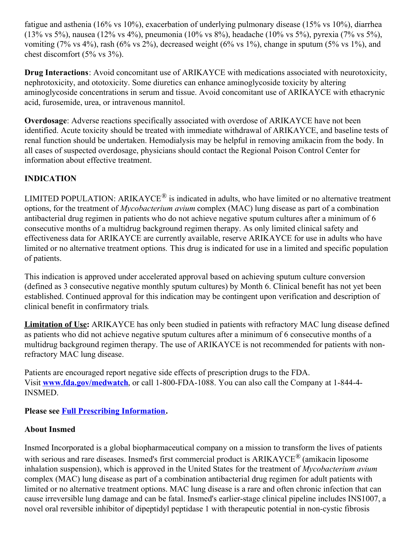fatigue and asthenia (16% vs 10%), exacerbation of underlying pulmonary disease (15% vs 10%), diarrhea (13% vs 5%), nausea (12% vs 4%), pneumonia (10% vs 8%), headache (10% vs 5%), pyrexia (7% vs 5%), vomiting (7% vs 4%), rash (6% vs 2%), decreased weight (6% vs 1%), change in sputum (5% vs 1%), and chest discomfort (5% vs 3%).

**Drug Interactions**: Avoid concomitant use of ARIKAYCE with medications associated with neurotoxicity, nephrotoxicity, and ototoxicity. Some diuretics can enhance aminoglycoside toxicity by altering aminoglycoside concentrations in serum and tissue. Avoid concomitant use of ARIKAYCE with ethacrynic acid, furosemide, urea, or intravenous mannitol.

**Overdosage**: Adverse reactions specifically associated with overdose of ARIKAYCE have not been identified. Acute toxicity should be treated with immediate withdrawal of ARIKAYCE, and baseline tests of renal function should be undertaken. Hemodialysis may be helpful in removing amikacin from the body. In all cases of suspected overdosage, physicians should contact the Regional Poison Control Center for information about effective treatment.

### **INDICATION**

LIMITED POPULATION: ARIKAYCE<sup>®</sup> is indicated in adults, who have limited or no alternative treatment options, for the treatment of *Mycobacterium avium* complex (MAC) lung disease as part of a combination antibacterial drug regimen in patients who do not achieve negative sputum cultures after a minimum of 6 consecutive months of a multidrug background regimen therapy. As only limited clinical safety and effectiveness data for ARIKAYCE are currently available, reserve ARIKAYCE for use in adults who have limited or no alternative treatment options*.* This drug is indicated for use in a limited and specific population of patients.

This indication is approved under accelerated approval based on achieving sputum culture conversion (defined as 3 consecutive negative monthly sputum cultures) by Month 6. Clinical benefit has not yet been established. Continued approval for this indication may be contingent upon verification and description of clinical benefit in confirmatory trials*.*

**Limitation of Use:** ARIKAYCE has only been studied in patients with refractory MAC lung disease defined as patients who did not achieve negative sputum cultures after a minimum of 6 consecutive months of a multidrug background regimen therapy. The use of ARIKAYCE is not recommended for patients with nonrefractory MAC lung disease.

Patients are encouraged report negative side effects of prescription drugs to the FDA. Visit **[www.fda.gov/medwatch](https://c212.net/c/link/?t=0&l=en&o=2419174-1&h=3668761832&u=https%3A%2F%2Fwww.globenewswire.com%2FTracker%3Fdata%3D2QnXTle7-W1ZgHXzZk-FEzGsxqBXWx3-DubrP-n8fETHZjnJ0TMyoeSEQraVgskgxgdFwFSHdvFrpFvuAJvLN-6J2IZPBET-CnRzoNOUsvs%3D&a=www.fda.gov%2Fmedwatch)**, or call 1-800-FDA-1088. You can also call the Company at 1-844-4- INSMED.

**Please see Full Prescribing [Information](https://c212.net/c/link/?t=0&l=en&o=2419174-1&h=1083959714&u=https%3A%2F%2Fc212.net%2Fc%2Flink%2F%3Ft%3D0%26l%3Den%26o%3D2382278-1%26h%3D2359604135%26u%3Dhttps%253A%252F%252Fc212.net%252Fc%252Flink%252F%253Ft%253D0%2526l%253Den%2526o%253D2339048-1%2526h%253D3665684709%2526u%253Dhttps%25253A%25252F%25252Fwww.arikayce.com%25252Fpdf%25252Ffull-prescribing-information.pdf%2526a%253DFull%252BPrescribing%252BInformation%26a%3DFull%2BPrescribing%2BInformation&a=Full+Prescribing+Information).**

#### **About Insmed**

Insmed Incorporated is a global biopharmaceutical company on a mission to transform the lives of patients with serious and rare diseases. Insmed's first commercial product is ARIKAYCE<sup>®</sup> (amikacin liposome inhalation suspension), which is approved in the United States for the treatment of *Mycobacterium avium* complex (MAC) lung disease as part of a combination antibacterial drug regimen for adult patients with limited or no alternative treatment options. MAC lung disease is a rare and often chronic infection that can cause irreversible lung damage and can be fatal. Insmed's earlier-stage clinical pipeline includes INS1007, a novel oral reversible inhibitor of dipeptidyl peptidase 1 with therapeutic potential in non-cystic fibrosis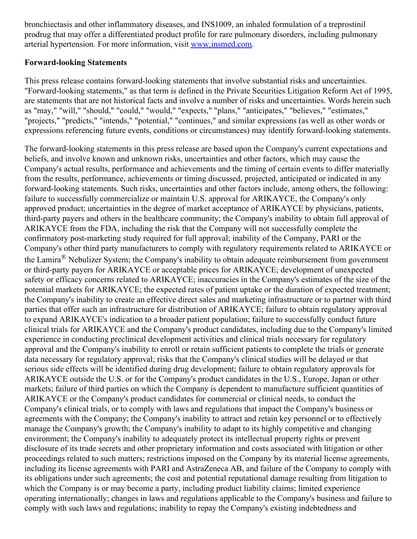bronchiectasis and other inflammatory diseases, and INS1009, an inhaled formulation of a treprostinil prodrug that may offer a differentiated product profile for rare pulmonary disorders, including pulmonary arterial hypertension. For more information, visit [www.insmed.com](https://c212.net/c/link/?t=0&l=en&o=2419174-1&h=1458435101&u=http%3A%2F%2Fwww.insmed.com%2F&a=www.insmed.com).

#### **Forward-looking Statements**

This press release contains forward-looking statements that involve substantial risks and uncertainties. "Forward-looking statements," as that term is defined in the Private Securities Litigation Reform Act of 1995, are statements that are not historical facts and involve a number of risks and uncertainties. Words herein such as "may," "will," "should," "could," "would," "expects," "plans," "anticipates," "believes," "estimates," "projects," "predicts," "intends," "potential," "continues," and similar expressions (as well as other words or expressions referencing future events, conditions or circumstances) may identify forward-looking statements.

The forward-looking statements in this press release are based upon the Company's current expectations and beliefs, and involve known and unknown risks, uncertainties and other factors, which may cause the Company's actual results, performance and achievements and the timing of certain events to differ materially from the results, performance, achievements or timing discussed, projected, anticipated or indicated in any forward-looking statements. Such risks, uncertainties and other factors include, among others, the following: failure to successfully commercialize or maintain U.S. approval for ARIKAYCE, the Company's only approved product; uncertainties in the degree of market acceptance of ARIKAYCE by physicians, patients, third-party payers and others in the healthcare community; the Company's inability to obtain full approval of ARIKAYCE from the FDA, including the risk that the Company will not successfully complete the confirmatory post-marketing study required for full approval; inability of the Company, PARI or the Company's other third party manufacturers to comply with regulatory requirements related to ARIKAYCE or the Lamira® Nebulizer System; the Company's inability to obtain adequate reimbursement from government or third-party payers for ARIKAYCE or acceptable prices for ARIKAYCE; development of unexpected safety or efficacy concerns related to ARIKAYCE; inaccuracies in the Company's estimates of the size of the potential markets for ARIKAYCE; the expected rates of patient uptake or the duration of expected treatment; the Company's inability to create an effective direct sales and marketing infrastructure or to partner with third parties that offer such an infrastructure for distribution of ARIKAYCE; failure to obtain regulatory approval to expand ARIKAYCE's indication to a broader patient population; failure to successfully conduct future clinical trials for ARIKAYCE and the Company's product candidates, including due to the Company's limited experience in conducting preclinical development activities and clinical trials necessary for regulatory approval and the Company's inability to enroll or retain sufficient patients to complete the trials or generate data necessary for regulatory approval; risks that the Company's clinical studies will be delayed or that serious side effects will be identified during drug development; failure to obtain regulatory approvals for ARIKAYCE outside the U.S. or for the Company's product candidates in the U.S., Europe, Japan or other markets; failure of third parties on which the Company is dependent to manufacture sufficient quantities of ARIKAYCE or the Company's product candidates for commercial or clinical needs, to conduct the Company's clinical trials, or to comply with laws and regulations that impact the Company's business or agreements with the Company; the Company's inability to attract and retain key personnel or to effectively manage the Company's growth; the Company's inability to adapt to its highly competitive and changing environment; the Company's inability to adequately protect its intellectual property rights or prevent disclosure of its trade secrets and other proprietary information and costs associated with litigation or other proceedings related to such matters; restrictions imposed on the Company by its material license agreements, including its license agreements with PARI and AstraZeneca AB, and failure of the Company to comply with its obligations under such agreements; the cost and potential reputational damage resulting from litigation to which the Company is or may become a party, including product liability claims; limited experience operating internationally; changes in laws and regulations applicable to the Company's business and failure to comply with such laws and regulations; inability to repay the Company's existing indebtedness and